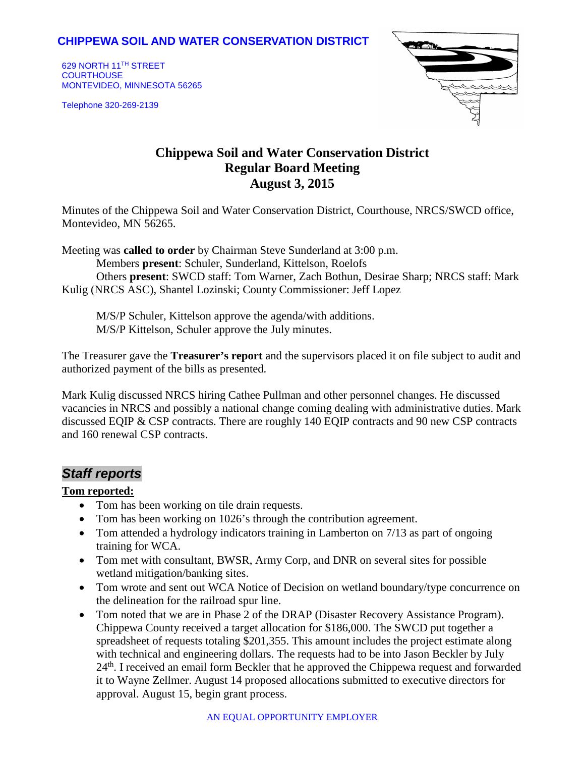# **CHIPPEWA SOIL AND WATER CONSERVATION DISTRICT**

629 NORTH 11TH STREET **COURTHOUSE** MONTEVIDEO, MINNESOTA 56265

Telephone 320-269-2139



# **Chippewa Soil and Water Conservation District Regular Board Meeting August 3, 2015**

Minutes of the Chippewa Soil and Water Conservation District, Courthouse, NRCS/SWCD office, Montevideo, MN 56265.

Meeting was **called to order** by Chairman Steve Sunderland at 3:00 p.m.

Members **present**: Schuler, Sunderland, Kittelson, Roelofs

Others **present**: SWCD staff: Tom Warner, Zach Bothun, Desirae Sharp; NRCS staff: Mark Kulig (NRCS ASC), Shantel Lozinski; County Commissioner: Jeff Lopez

M/S/P Schuler, Kittelson approve the agenda/with additions. M/S/P Kittelson, Schuler approve the July minutes.

The Treasurer gave the **Treasurer's report** and the supervisors placed it on file subject to audit and authorized payment of the bills as presented.

Mark Kulig discussed NRCS hiring Cathee Pullman and other personnel changes. He discussed vacancies in NRCS and possibly a national change coming dealing with administrative duties. Mark discussed EQIP & CSP contracts. There are roughly 140 EQIP contracts and 90 new CSP contracts and 160 renewal CSP contracts.

# *Staff reports*

### **Tom reported:**

- Tom has been working on tile drain requests.
- Tom has been working on 1026's through the contribution agreement.
- Tom attended a hydrology indicators training in Lamberton on 7/13 as part of ongoing training for WCA.
- Tom met with consultant, BWSR, Army Corp, and DNR on several sites for possible wetland mitigation/banking sites.
- Tom wrote and sent out WCA Notice of Decision on wetland boundary/type concurrence on the delineation for the railroad spur line.
- Tom noted that we are in Phase 2 of the DRAP (Disaster Recovery Assistance Program). Chippewa County received a target allocation for \$186,000. The SWCD put together a spreadsheet of requests totaling \$201,355. This amount includes the project estimate along with technical and engineering dollars. The requests had to be into Jason Beckler by July 24<sup>th</sup>. I received an email form Beckler that he approved the Chippewa request and forwarded it to Wayne Zellmer. August 14 proposed allocations submitted to executive directors for approval. August 15, begin grant process.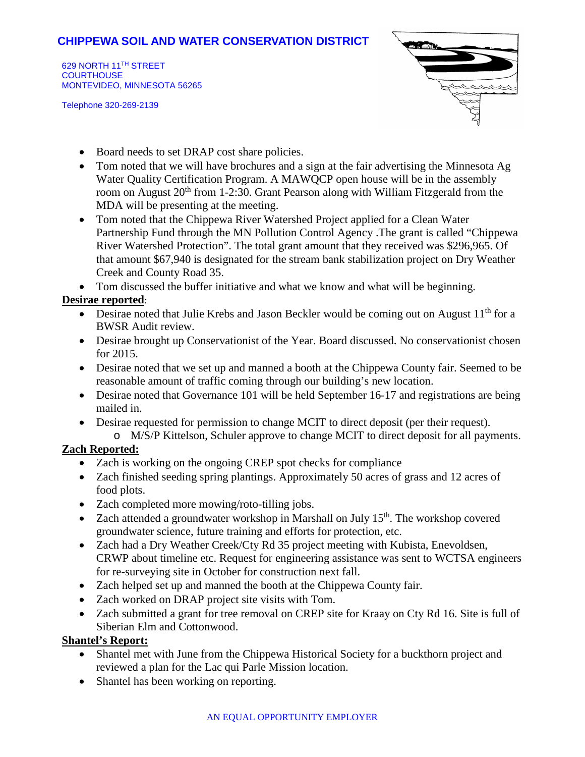# **CHIPPEWA SOIL AND WATER CONSERVATION DISTRICT**

629 NORTH 11TH STREET **COURTHOUSE** MONTEVIDEO, MINNESOTA 56265

Telephone 320-269-2139



- Board needs to set DRAP cost share policies.
- Tom noted that we will have brochures and a sign at the fair advertising the Minnesota Ag Water Quality Certification Program. A MAWQCP open house will be in the assembly room on August  $20<sup>th</sup>$  from 1-2:30. Grant Pearson along with William Fitzgerald from the MDA will be presenting at the meeting.
- Tom noted that the Chippewa River Watershed Project applied for a Clean Water Partnership Fund through the MN Pollution Control Agency .The grant is called "Chippewa River Watershed Protection". The total grant amount that they received was \$296,965. Of that amount \$67,940 is designated for the stream bank stabilization project on Dry Weather Creek and County Road 35.

• Tom discussed the buffer initiative and what we know and what will be beginning.

### **Desirae reported**:

- Desirae noted that Julie Krebs and Jason Beckler would be coming out on August  $11<sup>th</sup>$  for a BWSR Audit review.
- Desirae brought up Conservationist of the Year. Board discussed. No conservationist chosen for 2015.
- Desirae noted that we set up and manned a booth at the Chippewa County fair. Seemed to be reasonable amount of traffic coming through our building's new location.
- Desirae noted that Governance 101 will be held September 16-17 and registrations are being mailed in.
- Desirae requested for permission to change MCIT to direct deposit (per their request).
- o M/S/P Kittelson, Schuler approve to change MCIT to direct deposit for all payments. **Zach Reported:**
	- Zach is working on the ongoing CREP spot checks for compliance
	- Zach finished seeding spring plantings. Approximately 50 acres of grass and 12 acres of food plots.
	- Zach completed more mowing/roto-tilling jobs.
	- Zach attended a groundwater workshop in Marshall on July  $15<sup>th</sup>$ . The workshop covered groundwater science, future training and efforts for protection, etc.
	- Zach had a Dry Weather Creek/Cty Rd 35 project meeting with Kubista, Enevoldsen, CRWP about timeline etc. Request for engineering assistance was sent to WCTSA engineers for re-surveying site in October for construction next fall.
	- Zach helped set up and manned the booth at the Chippewa County fair.
	- Zach worked on DRAP project site visits with Tom.
	- Zach submitted a grant for tree removal on CREP site for Kraay on Cty Rd 16. Site is full of Siberian Elm and Cottonwood.

### **Shantel's Report:**

- Shantel met with June from the Chippewa Historical Society for a buckthorn project and reviewed a plan for the Lac qui Parle Mission location.
- Shantel has been working on reporting.